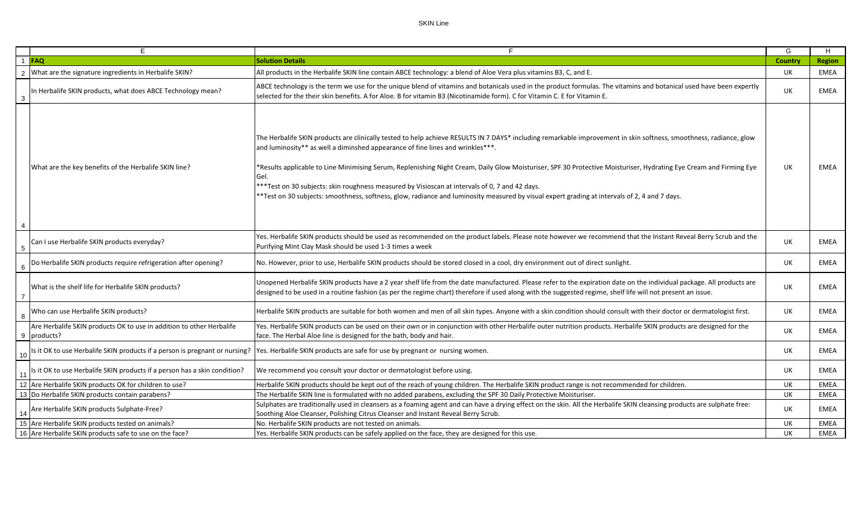## SKIN Line

|                | E                                                                                   | E                                                                                                                                                                                                                                                                                                                                                                                                                                                                                                                                                                                                                                                                                    | G              | H             |
|----------------|-------------------------------------------------------------------------------------|--------------------------------------------------------------------------------------------------------------------------------------------------------------------------------------------------------------------------------------------------------------------------------------------------------------------------------------------------------------------------------------------------------------------------------------------------------------------------------------------------------------------------------------------------------------------------------------------------------------------------------------------------------------------------------------|----------------|---------------|
|                | $1$ FAQ                                                                             | <b>Solution Details</b>                                                                                                                                                                                                                                                                                                                                                                                                                                                                                                                                                                                                                                                              | <b>Country</b> | <b>Region</b> |
|                | What are the signature ingredients in Herbalife SKIN?                               | All products in the Herbalife SKIN line contain ABCE technology: a blend of Aloe Vera plus vitamins B3, C, and E.                                                                                                                                                                                                                                                                                                                                                                                                                                                                                                                                                                    | UK             | EMEA          |
| 3              | In Herbalife SKIN products, what does ABCE Technology mean?                         | ABCE technology is the term we use for the unique blend of vitamins and botanicals used in the product formulas. The vitamins and botanical used have been expertly<br>selected for the their skin benefits. A for Aloe. B for vitamin B3 (Nicotinamide form). C for Vitamin C. E for Vitamin E.                                                                                                                                                                                                                                                                                                                                                                                     | <b>UK</b>      | <b>EMEA</b>   |
| 4              | What are the key benefits of the Herbalife SKIN line?                               | The Herbalife SKIN products are clinically tested to help achieve RESULTS IN 7 DAYS* including remarkable improvement in skin softness, smoothness, radiance, glow<br>and luminosity** as well a diminshed appearance of fine lines and wrinkles***.<br>*Results applicable to Line Minimising Serum, Replenishing Night Cream, Daily Glow Moisturiser, SPF 30 Protective Moisturiser, Hydrating Eye Cream and Firming Eye<br>Gel.<br>***Test on 30 subjects: skin roughness measured by Visioscan at intervals of 0, 7 and 42 days.<br>*Test on 30 subjects: smoothness, softness, glow, radiance and luminosity measured by visual expert grading at intervals of 2, 4 and 7 days. | UK             | EMEA          |
| -5             | Can I use Herbalife SKIN products everyday?                                         | Yes. Herbalife SKIN products should be used as recommended on the product labels. Please note however we recommend that the Instant Reveal Berry Scrub and the<br>Purifying Mint Clay Mask should be used 1-3 times a week                                                                                                                                                                                                                                                                                                                                                                                                                                                           | <b>UK</b>      | <b>EMEA</b>   |
|                | Do Herbalife SKIN products require refrigeration after opening?                     | No. However, prior to use, Herbalife SKIN products should be stored closed in a cool, dry environment out of direct sunlight.                                                                                                                                                                                                                                                                                                                                                                                                                                                                                                                                                        | UK             | <b>EMEA</b>   |
| $\overline{7}$ | What is the shelf life for Herbalife SKIN products?                                 | Unopened Herbalife SKIN products have a 2 year shelf life from the date manufactured. Please refer to the expiration date on the individual package. All products are<br>designed to be used in a routine fashion (as per the regime chart) therefore if used along with the suggested regime, shelf life will not present an issue.                                                                                                                                                                                                                                                                                                                                                 | UK             | <b>EMEA</b>   |
|                | Who can use Herbalife SKIN products?                                                | Herbalife SKIN products are suitable for both women and men of all skin types. Anyone with a skin condition should consult with their doctor or dermatologist first.                                                                                                                                                                                                                                                                                                                                                                                                                                                                                                                 | UK             | <b>EMEA</b>   |
|                | Are Herbalife SKIN products OK to use in addition to other Herbalife<br>9 products? | Yes. Herbalife SKIN products can be used on their own or in conjunction with other Herbalife outer nutrition products. Herbalife SKIN products are designed for the<br>face. The Herbal Aloe line is designed for the bath, body and hair.                                                                                                                                                                                                                                                                                                                                                                                                                                           | UK             | EMEA          |
| 10             | Is it OK to use Herbalife SKIN products if a person is pregnant or nursing?         | Yes. Herbalife SKIN products are safe for use by pregnant or nursing women.                                                                                                                                                                                                                                                                                                                                                                                                                                                                                                                                                                                                          | UK             | EMEA          |
|                | Is it OK to use Herbalife SKIN products if a person has a skin condition?           | We recommend you consult your doctor or dermatologist before using.                                                                                                                                                                                                                                                                                                                                                                                                                                                                                                                                                                                                                  | <b>UK</b>      | <b>EMEA</b>   |
|                | 12 Are Herbalife SKIN products OK for children to use?                              | Herbalife SKIN products should be kept out of the reach of young children. The Herbalife SKIN product range is not recommended for children.                                                                                                                                                                                                                                                                                                                                                                                                                                                                                                                                         | UK             | <b>EMEA</b>   |
|                | 13 Do Herbalife SKIN products contain parabens?                                     | The Herbalife SKIN line is formulated with no added parabens, excluding the SPF 30 Daily Protective Moisturiser.                                                                                                                                                                                                                                                                                                                                                                                                                                                                                                                                                                     | UK             | <b>EMEA</b>   |
|                | Are Herbalife SKIN products Sulphate-Free?                                          | Sulphates are traditionally used in cleansers as a foaming agent and can have a drying effect on the skin. All the Herbalife SKIN cleansing products are sulphate free:<br>Soothing Aloe Cleanser, Polishing Citrus Cleanser and Instant Reveal Berry Scrub.                                                                                                                                                                                                                                                                                                                                                                                                                         | <b>UK</b>      | <b>EMEA</b>   |
|                | 15 Are Herbalife SKIN products tested on animals?                                   | No. Herbalife SKIN products are not tested on animals.                                                                                                                                                                                                                                                                                                                                                                                                                                                                                                                                                                                                                               | UK             | EMEA          |
|                | 16 Are Herbalife SKIN products safe to use on the face?                             | Yes. Herbalife SKIN products can be safely applied on the face, they are designed for this use.                                                                                                                                                                                                                                                                                                                                                                                                                                                                                                                                                                                      | UK             | <b>EMEA</b>   |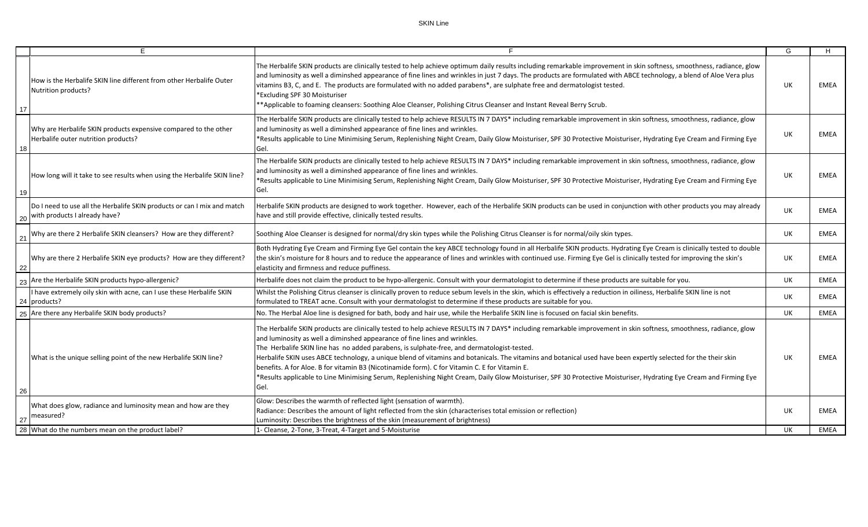|    | E                                                                                                        |                                                                                                                                                                                                                                                                                                                                                                                                                                                                                                                                                                                                                                                                                                                                                                                                | G   | H           |
|----|----------------------------------------------------------------------------------------------------------|------------------------------------------------------------------------------------------------------------------------------------------------------------------------------------------------------------------------------------------------------------------------------------------------------------------------------------------------------------------------------------------------------------------------------------------------------------------------------------------------------------------------------------------------------------------------------------------------------------------------------------------------------------------------------------------------------------------------------------------------------------------------------------------------|-----|-------------|
| 17 | How is the Herbalife SKIN line different from other Herbalife Outer<br>Nutrition products?               | The Herbalife SKIN products are clinically tested to help achieve optimum daily results including remarkable improvement in skin softness, smoothness, radiance, glow<br>and luminosity as well a diminshed appearance of fine lines and wrinkles in just 7 days. The products are formulated with ABCE technology, a blend of Aloe Vera plus<br>vitamins B3, C, and E. The products are formulated with no added parabens*, are sulphate free and dermatologist tested.<br>*Excluding SPF 30 Moisturiser<br>**Applicable to foaming cleansers: Soothing Aloe Cleanser, Polishing Citrus Cleanser and Instant Reveal Berry Scrub.                                                                                                                                                              | UK  | EMEA        |
| 18 | Why are Herbalife SKIN products expensive compared to the other<br>Herbalife outer nutrition products?   | The Herbalife SKIN products are clinically tested to help achieve RESULTS IN 7 DAYS* including remarkable improvement in skin softness, smoothness, radiance, glow<br>and luminosity as well a diminshed appearance of fine lines and wrinkles.<br>*Results applicable to Line Minimising Serum, Replenishing Night Cream, Daily Glow Moisturiser, SPF 30 Protective Moisturiser, Hydrating Eye Cream and Firming Eye<br>Gel.                                                                                                                                                                                                                                                                                                                                                                  | UK  | <b>EMEA</b> |
| 19 | How long will it take to see results when using the Herbalife SKIN line?                                 | The Herbalife SKIN products are clinically tested to help achieve RESULTS IN 7 DAYS* including remarkable improvement in skin softness, smoothness, radiance, glow<br>and luminosity as well a diminshed appearance of fine lines and wrinkles.<br>*Results applicable to Line Minimising Serum, Replenishing Night Cream, Daily Glow Moisturiser, SPF 30 Protective Moisturiser, Hydrating Eye Cream and Firming Eye<br>Gel.                                                                                                                                                                                                                                                                                                                                                                  | UK. | EMEA        |
| 20 | Do I need to use all the Herbalife SKIN products or can I mix and match<br>with products I already have? | Herbalife SKIN products are designed to work together. However, each of the Herbalife SKIN products can be used in conjunction with other products you may already<br>have and still provide effective, clinically tested results.                                                                                                                                                                                                                                                                                                                                                                                                                                                                                                                                                             | UK  | EMEA        |
| 21 | Why are there 2 Herbalife SKIN cleansers? How are they different?                                        | Soothing Aloe Cleanser is designed for normal/dry skin types while the Polishing Citrus Cleanser is for normal/oily skin types.                                                                                                                                                                                                                                                                                                                                                                                                                                                                                                                                                                                                                                                                | UK. | EMEA        |
| 22 | Why are there 2 Herbalife SKIN eye products? How are they different?                                     | Both Hydrating Eye Cream and Firming Eye Gel contain the key ABCE technology found in all Herbalife SKIN products. Hydrating Eye Cream is clinically tested to double<br>the skin's moisture for 8 hours and to reduce the appearance of lines and wrinkles with continued use. Firming Eye Gel is clinically tested for improving the skin's<br>elasticity and firmness and reduce puffiness.                                                                                                                                                                                                                                                                                                                                                                                                 | UK  | EMEA        |
| 23 | Are the Herbalife SKIN products hypo-allergenic?                                                         | Herbalife does not claim the product to be hypo-allergenic. Consult with your dermatologist to determine if these products are suitable for you.                                                                                                                                                                                                                                                                                                                                                                                                                                                                                                                                                                                                                                               | UK. | <b>EMEA</b> |
|    | I have extremely oily skin with acne, can I use these Herbalife SKIN<br>24 products?                     | Whilst the Polishing Citrus cleanser is clinically proven to reduce sebum levels in the skin, which is effectively a reduction in oiliness, Herbalife SKIN line is not<br>formulated to TREAT acne. Consult with your dermatologist to determine if these products are suitable for you.                                                                                                                                                                                                                                                                                                                                                                                                                                                                                                       | UK. | EMEA        |
|    | 25 Are there any Herbalife SKIN body products?                                                           | No. The Herbal Aloe line is designed for bath, body and hair use, while the Herbalife SKIN line is focused on facial skin benefits.                                                                                                                                                                                                                                                                                                                                                                                                                                                                                                                                                                                                                                                            | UK  | <b>EMEA</b> |
| 26 | What is the unique selling point of the new Herbalife SKIN line?                                         | The Herbalife SKIN products are clinically tested to help achieve RESULTS IN 7 DAYS* including remarkable improvement in skin softness, smoothness, radiance, glow<br>and luminosity as well a diminshed appearance of fine lines and wrinkles.<br>The Herbalife SKIN line has no added parabens, is sulphate-free, and dermatologist-tested.<br>Herbalife SKIN uses ABCE technology, a unique blend of vitamins and botanicals. The vitamins and botanical used have been expertly selected for the their skin<br>benefits. A for Aloe. B for vitamin B3 (Nicotinamide form). C for Vitamin C. E for Vitamin E.<br>*Results applicable to Line Minimising Serum, Replenishing Night Cream, Daily Glow Moisturiser, SPF 30 Protective Moisturiser, Hydrating Eye Cream and Firming Eye<br>Gel. | UK. | <b>EMEA</b> |
| 27 | What does glow, radiance and luminosity mean and how are they<br>measured?                               | Glow: Describes the warmth of reflected light (sensation of warmth).<br>Radiance: Describes the amount of light reflected from the skin (characterises total emission or reflection)<br>Luminosity: Describes the brightness of the skin (measurement of brightness)                                                                                                                                                                                                                                                                                                                                                                                                                                                                                                                           | UK. | EMEA        |
|    | 28 What do the numbers mean on the product label?                                                        | 1- Cleanse, 2-Tone, 3-Treat, 4-Target and 5-Moisturise                                                                                                                                                                                                                                                                                                                                                                                                                                                                                                                                                                                                                                                                                                                                         | UK. | <b>EMEA</b> |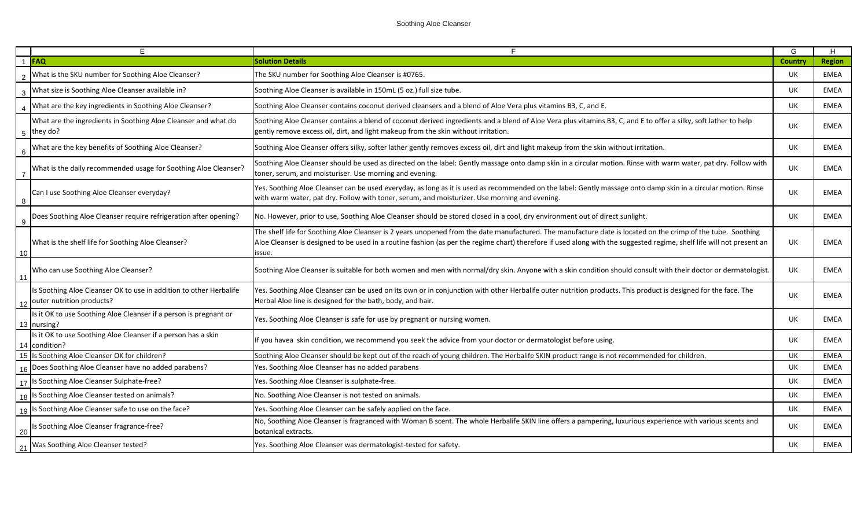|                  | Е                                                                                               |                                                                                                                                                                                                                                                                                                                                                | G         | H           |
|------------------|-------------------------------------------------------------------------------------------------|------------------------------------------------------------------------------------------------------------------------------------------------------------------------------------------------------------------------------------------------------------------------------------------------------------------------------------------------|-----------|-------------|
|                  | <b>FAO</b>                                                                                      | <b>Solution Details</b>                                                                                                                                                                                                                                                                                                                        | Country   | Region      |
| $\overline{2}$   | What is the SKU number for Soothing Aloe Cleanser?                                              | The SKU number for Soothing Aloe Cleanser is #0765.                                                                                                                                                                                                                                                                                            | UK.       | <b>EMEA</b> |
| $\mathbf{3}$     | What size is Soothing Aloe Cleanser available in?                                               | Soothing Aloe Cleanser is available in 150mL (5 oz.) full size tube.                                                                                                                                                                                                                                                                           | UK        | <b>EMEA</b> |
|                  | What are the key ingredients in Soothing Aloe Cleanser?                                         | Soothing Aloe Cleanser contains coconut derived cleansers and a blend of Aloe Vera plus vitamins B3, C, and E.                                                                                                                                                                                                                                 | UK        | <b>EMEA</b> |
| $5\overline{)}$  | What are the ingredients in Soothing Aloe Cleanser and what do<br>they do?                      | Soothing Aloe Cleanser contains a blend of coconut derived ingredients and a blend of Aloe Vera plus vitamins B3, C, and E to offer a silky, soft lather to help<br>gently remove excess oil, dirt, and light makeup from the skin without irritation.                                                                                         | <b>UK</b> | <b>EMEA</b> |
| 6                | What are the key benefits of Soothing Aloe Cleanser?                                            | Soothing Aloe Cleanser offers silky, softer lather gently removes excess oil, dirt and light makeup from the skin without irritation.                                                                                                                                                                                                          | UK        | <b>EMEA</b> |
| $\overline{7}$   | What is the daily recommended usage for Soothing Aloe Cleanser?                                 | Soothing Aloe Cleanser should be used as directed on the label: Gently massage onto damp skin in a circular motion. Rinse with warm water, pat dry. Follow with<br>toner, serum, and moisturiser. Use morning and evening.                                                                                                                     | UK        | <b>EMEA</b> |
| $\boldsymbol{8}$ | Can I use Soothing Aloe Cleanser everyday?                                                      | Yes. Soothing Aloe Cleanser can be used everyday, as long as it is used as recommended on the label: Gently massage onto damp skin in a circular motion. Rinse<br>with warm water, pat dry. Follow with toner, serum, and moisturizer. Use morning and evening.                                                                                | UK        | <b>EMEA</b> |
| - 9              | Does Soothing Aloe Cleanser require refrigeration after opening?                                | No. However, prior to use, Soothing Aloe Cleanser should be stored closed in a cool, dry environment out of direct sunlight.                                                                                                                                                                                                                   | UK        | <b>EMEA</b> |
| 10               | What is the shelf life for Soothing Aloe Cleanser?                                              | The shelf life for Soothing Aloe Cleanser is 2 years unopened from the date manufactured. The manufacture date is located on the crimp of the tube. Soothing<br>Aloe Cleanser is designed to be used in a routine fashion (as per the regime chart) therefore if used along with the suggested regime, shelf life will not present an<br>ssue. | <b>UK</b> | <b>EMEA</b> |
| 11               | Who can use Soothing Aloe Cleanser?                                                             | Soothing Aloe Cleanser is suitable for both women and men with normal/dry skin. Anyone with a skin condition should consult with their doctor or dermatologist.                                                                                                                                                                                | UK        | <b>EMEA</b> |
|                  | Is Soothing Aloe Cleanser OK to use in addition to other Herbalife<br>outer nutrition products? | Yes. Soothing Aloe Cleanser can be used on its own or in conjunction with other Herbalife outer nutrition products. This product is designed for the face. The<br>Herbal Aloe line is designed for the bath, body, and hair.                                                                                                                   | UK        | <b>EMEA</b> |
|                  | Is it OK to use Soothing Aloe Cleanser if a person is pregnant or<br>13 Inursing?               | Yes. Soothing Aloe Cleanser is safe for use by pregnant or nursing women.                                                                                                                                                                                                                                                                      | UK        | <b>EMEA</b> |
|                  | Is it OK to use Soothing Aloe Cleanser if a person has a skin<br>14 condition?                  | If you havea skin condition, we recommend you seek the advice from your doctor or dermatologist before using.                                                                                                                                                                                                                                  | UK.       | <b>EMEA</b> |
|                  | 15 Is Soothing Aloe Cleanser OK for children?                                                   | Soothing Aloe Cleanser should be kept out of the reach of young children. The Herbalife SKIN product range is not recommended for children.                                                                                                                                                                                                    | UK        | <b>EMEA</b> |
|                  | Does Soothing Aloe Cleanser have no added parabens?                                             | Yes. Soothing Aloe Cleanser has no added parabens                                                                                                                                                                                                                                                                                              | <b>UK</b> | <b>EMEA</b> |
|                  | 17 Is Soothing Aloe Cleanser Sulphate-free?                                                     | Yes. Soothing Aloe Cleanser is sulphate-free.                                                                                                                                                                                                                                                                                                  | <b>UK</b> | <b>EMEA</b> |
|                  | 18 Is Soothing Aloe Cleanser tested on animals?                                                 | No. Soothing Aloe Cleanser is not tested on animals.                                                                                                                                                                                                                                                                                           | UK        | <b>EMEA</b> |
|                  | 19 Is Soothing Aloe Cleanser safe to use on the face?                                           | Yes. Soothing Aloe Cleanser can be safely applied on the face.                                                                                                                                                                                                                                                                                 | <b>UK</b> | <b>EMEA</b> |
| 20               | Is Soothing Aloe Cleanser fragrance-free?                                                       | No, Soothing Aloe Cleanser is fragranced with Woman B scent. The whole Herbalife SKIN line offers a pampering, luxurious experience with various scents and<br>botanical extracts.                                                                                                                                                             | UK        | <b>EMEA</b> |
| 21               | Was Soothing Aloe Cleanser tested?                                                              | Yes. Soothing Aloe Cleanser was dermatologist-tested for safety.                                                                                                                                                                                                                                                                               | UK        | EMEA        |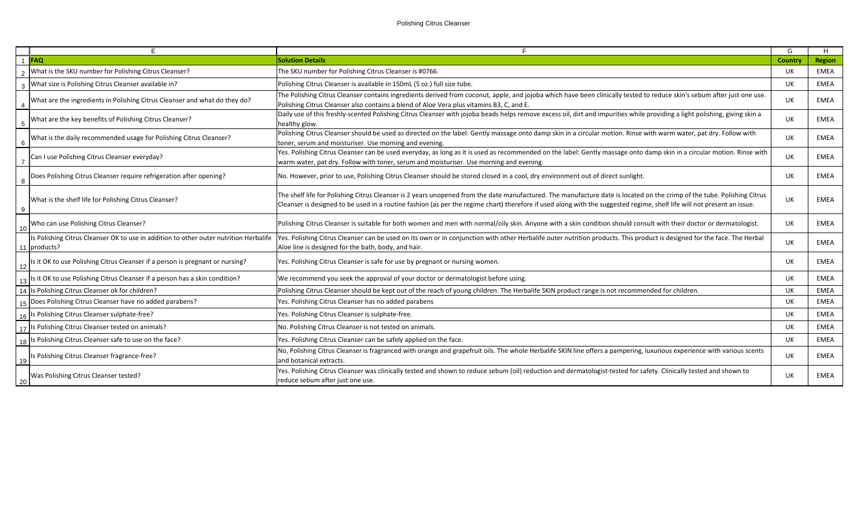|                 | F.                                                                                                      |                                                                                                                                                                                                                                                                                                                                                    | G       | H             |
|-----------------|---------------------------------------------------------------------------------------------------------|----------------------------------------------------------------------------------------------------------------------------------------------------------------------------------------------------------------------------------------------------------------------------------------------------------------------------------------------------|---------|---------------|
|                 | 1 FAQ                                                                                                   | <b>Solution Details</b>                                                                                                                                                                                                                                                                                                                            | Country | <b>Region</b> |
|                 | What is the SKU number for Polishing Citrus Cleanser?                                                   | The SKU number for Polishing Citrus Cleanser is #0766.                                                                                                                                                                                                                                                                                             | UK      | EMEA          |
|                 | What size is Polishing Citrus Cleanser available in?                                                    | Polishing Citrus Cleanser is available in 150mL (5 oz.) full size tube.                                                                                                                                                                                                                                                                            | UK      | EMEA          |
|                 | What are the ingredients in Polishing Citrus Cleanser and what do they do?                              | The Polishing Citrus Cleanser contains ingredients derived from coconut, apple, and jojoba which have been clinically tested to reduce skin's sebum after just one use.<br>Polishing Citrus Cleanser also contains a blend of Aloe Vera plus vitamins B3, C, and E.                                                                                | UK      | <b>EMEA</b>   |
|                 | What are the key benefits of Polishing Citrus Cleanser?                                                 | Daily use of this freshly-scented Polishing Citrus Cleanser with jojoba beads helps remove excess oil, dirt and impurities while providing a light polishing, giving skin a<br>healthy glow.                                                                                                                                                       | UK      | <b>EMEA</b>   |
| $6\overline{6}$ | What is the daily recommended usage for Polishing Citrus Cleanser?                                      | Polishing Citrus Cleanser should be used as directed on the label: Gently massage onto damp skin in a circular motion. Rinse with warm water, pat dry. Follow with<br>toner, serum and moisturiser. Use morning and evening.                                                                                                                       | UK      | <b>EMEA</b>   |
|                 | Can I use Polishing Citrus Cleanser everyday?                                                           | Yes. Polishing Citrus Cleanser can be used everyday, as long as it is used as recommended on the label: Gently massage onto damp skin in a circular motion. Rinse with<br>warm water, pat dry. Follow with toner, serum and moisturiser. Use morning and evening.                                                                                  | UK      | <b>EMEA</b>   |
| 8               | Does Polishing Citrus Cleanser require refrigeration after opening?                                     | No. However, prior to use, Polishing Citrus Cleanser should be stored closed in a cool, dry environment out of direct sunlight.                                                                                                                                                                                                                    | UK      | EMEA          |
| 9               | What is the shelf life for Polishing Citrus Cleanser?                                                   | The shelf life for Polishing Citrus Cleanser is 2 years unopened from the date manufactured. The manufacture date is located on the crimp of the tube. Polishing Citrus<br>Cleanser is designed to be used in a routine fashion (as per the regime chart) therefore if used along with the suggested regime, shelf life will not present an issue. | UK      | EMEA          |
| 10              | Who can use Polishing Citrus Cleanser?                                                                  | Polishing Citrus Cleanser is suitable for both women and men with normal/oily skin. Anyone with a skin condition should consult with their doctor or dermatologist.                                                                                                                                                                                | UK      | EMEA          |
|                 | Is Polishing Citrus Cleanser OK to use in addition to other outer nutrition Herbalife<br>11   products? | Yes. Polishing Citrus Cleanser can be used on its own or in conjunction with other Herbalife outer nutrition products. This product is designed for the face. The Herbal<br>Aloe line is designed for the bath, body, and hair.                                                                                                                    | UK      | EMEA          |
| 12              | Is it OK to use Polishing Citrus Cleanser if a person is pregnant or nursing?                           | Yes. Polishing Citrus Cleanser is safe for use by pregnant or nursing women.                                                                                                                                                                                                                                                                       | UK      | <b>EMEA</b>   |
|                 | Is it OK to use Polishing Citrus Cleanser if a person has a skin condition?                             | We recommend you seek the approval of your doctor or dermatologist before using.                                                                                                                                                                                                                                                                   | UK      | <b>EMEA</b>   |
|                 | 14 Is Polishing Citrus Cleanser ok for children?                                                        | Polishing Citrus Cleanser should be kept out of the reach of young children. The Herbalife SKIN product range is not recommended for children.                                                                                                                                                                                                     | UK      | EMEA          |
|                 | 15 Does Polishing Citrus Cleanser have no added parabens?                                               | Yes. Polishing Citrus Cleanser has no added parabens                                                                                                                                                                                                                                                                                               | UK      | <b>EMEA</b>   |
|                 | 16 Is Polishing Citrus Cleanser sulphate-free?                                                          | Yes. Polishing Citrus Cleanser is sulphate-free.                                                                                                                                                                                                                                                                                                   | UK      | <b>EMEA</b>   |
|                 | 17 Is Polishing Citrus Cleanser tested on animals?                                                      | No. Polishing Citrus Cleanser is not tested on animals.                                                                                                                                                                                                                                                                                            | UK      | <b>EMEA</b>   |
|                 | 18 Is Polishing Citrus Cleanser safe to use on the face?                                                | Yes. Polishing Citrus Cleanser can be safely applied on the face.                                                                                                                                                                                                                                                                                  | UK      | EMEA          |
| 19              | Is Polishing Citrus Cleanser fragrance-free?                                                            | No, Polishing Citrus Cleanser is fragranced with orange and grapefruit oils. The whole Herbalife SKIN line offers a pampering, luxurious experience with various scents<br>and botanical extracts.                                                                                                                                                 | UK      | <b>EMEA</b>   |
| 20              | Was Polishing Citrus Cleanser tested?                                                                   | Yes. Polishing Citrus Cleanser was clinically tested and shown to reduce sebum (oil) reduction and dermatologist-tested for safety. Clinically tested and shown to<br>reduce sebum after just one use.                                                                                                                                             | UK      | <b>EMEA</b>   |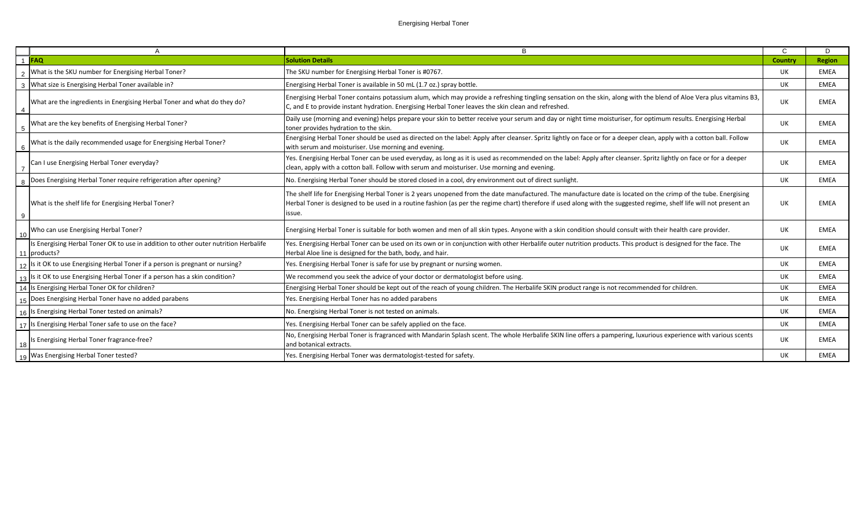|                 | A                                                                                                   | B                                                                                                                                                                                                                                                                                                                                                 | C.        | D           |
|-----------------|-----------------------------------------------------------------------------------------------------|---------------------------------------------------------------------------------------------------------------------------------------------------------------------------------------------------------------------------------------------------------------------------------------------------------------------------------------------------|-----------|-------------|
|                 | 1 FAQ                                                                                               | <b>Solution Details</b>                                                                                                                                                                                                                                                                                                                           | Country   | Region      |
|                 | What is the SKU number for Energising Herbal Toner?                                                 | The SKU number for Energising Herbal Toner is #0767.                                                                                                                                                                                                                                                                                              | UK        | EMEA        |
|                 | 3   What size is Energising Herbal Toner available in?                                              | Energising Herbal Toner is available in 50 mL (1.7 oz.) spray bottle.                                                                                                                                                                                                                                                                             | <b>UK</b> | EMEA        |
| $\overline{4}$  | What are the ingredients in Energising Herbal Toner and what do they do?                            | Energising Herbal Toner contains potassium alum, which may provide a refreshing tingling sensation on the skin, along with the blend of Aloe Vera plus vitamins B3,<br>C, and E to provide instant hydration. Energising Herbal Toner leaves the skin clean and refreshed.                                                                        | UK        | EMEA        |
| $5\phantom{0}$  | What are the key benefits of Energising Herbal Toner?                                               | Daily use (morning and evening) helps prepare your skin to better receive your serum and day or night time moisturiser, for optimum results. Energising Herbal<br>toner provides hydration to the skin.                                                                                                                                           | UK        | EMEA        |
| $6\phantom{1}6$ | What is the daily recommended usage for Energising Herbal Toner?                                    | Energising Herbal Toner should be used as directed on the label: Apply after cleanser. Spritz lightly on face or for a deeper clean, apply with a cotton ball. Follow<br>with serum and moisturiser. Use morning and evening.                                                                                                                     | <b>UK</b> | <b>EMEA</b> |
| $\overline{7}$  | Can I use Energising Herbal Toner everyday?                                                         | Yes. Energising Herbal Toner can be used everyday, as long as it is used as recommended on the label: Apply after cleanser. Spritz lightly on face or for a deeper<br>clean, apply with a cotton ball. Follow with serum and moisturiser. Use morning and evening.                                                                                | UK        | EMEA        |
| 8               | Does Energising Herbal Toner require refrigeration after opening?                                   | No. Energising Herbal Toner should be stored closed in a cool, dry environment out of direct sunlight.                                                                                                                                                                                                                                            | <b>UK</b> | <b>EMEA</b> |
| 9               | What is the shelf life for Energising Herbal Toner?                                                 | The shelf life for Energising Herbal Toner is 2 years unopened from the date manufactured. The manufacture date is located on the crimp of the tube. Energising<br>Herbal Toner is designed to be used in a routine fashion (as per the regime chart) therefore if used along with the suggested regime, shelf life will not present an<br>issue. | UK        | <b>EMEA</b> |
| 10              | Who can use Energising Herbal Toner?                                                                | Energising Herbal Toner is suitable for both women and men of all skin types. Anyone with a skin condition should consult with their health care provider.                                                                                                                                                                                        | UK        | EMEA        |
|                 | Is Energising Herbal Toner OK to use in addition to other outer nutrition Herbalife<br>11 products? | Yes. Energising Herbal Toner can be used on its own or in conjunction with other Herbalife outer nutrition products. This product is designed for the face. The<br>Herbal Aloe line is designed for the bath, body, and hair.                                                                                                                     | UK        | EMEA        |
|                 | 12 Is it OK to use Energising Herbal Toner if a person is pregnant or nursing?                      | Yes. Energising Herbal Toner is safe for use by pregnant or nursing women.                                                                                                                                                                                                                                                                        | UK        | <b>EMEA</b> |
|                 | 13  Is it OK to use Energising Herbal Toner if a person has a skin condition?                       | We recommend you seek the advice of your doctor or dermatologist before using.                                                                                                                                                                                                                                                                    | <b>UK</b> | <b>EMEA</b> |
|                 | 14 Is Energising Herbal Toner OK for children?                                                      | Energising Herbal Toner should be kept out of the reach of young children. The Herbalife SKIN product range is not recommended for children.                                                                                                                                                                                                      | UK        | EMEA        |
|                 | 15   Does Energising Herbal Toner have no added parabens                                            | Yes. Energising Herbal Toner has no added parabens                                                                                                                                                                                                                                                                                                | UK        | <b>EMEA</b> |
|                 | 16 Is Energising Herbal Toner tested on animals?                                                    | No. Energising Herbal Toner is not tested on animals.                                                                                                                                                                                                                                                                                             | UK        | EMEA        |
|                 | 17   Is Energising Herbal Toner safe to use on the face?                                            | Yes. Energising Herbal Toner can be safely applied on the face.                                                                                                                                                                                                                                                                                   | UK        | EMEA        |
| 18              | Is Energising Herbal Toner fragrance-free?                                                          | No, Energising Herbal Toner is fragranced with Mandarin Splash scent. The whole Herbalife SKIN line offers a pampering, luxurious experience with various scents<br>and botanical extracts.                                                                                                                                                       | UK        | EMEA        |
|                 | 19   Was Energising Herbal Toner tested?                                                            | Yes. Energising Herbal Toner was dermatologist-tested for safety.                                                                                                                                                                                                                                                                                 | <b>UK</b> | <b>EMEA</b> |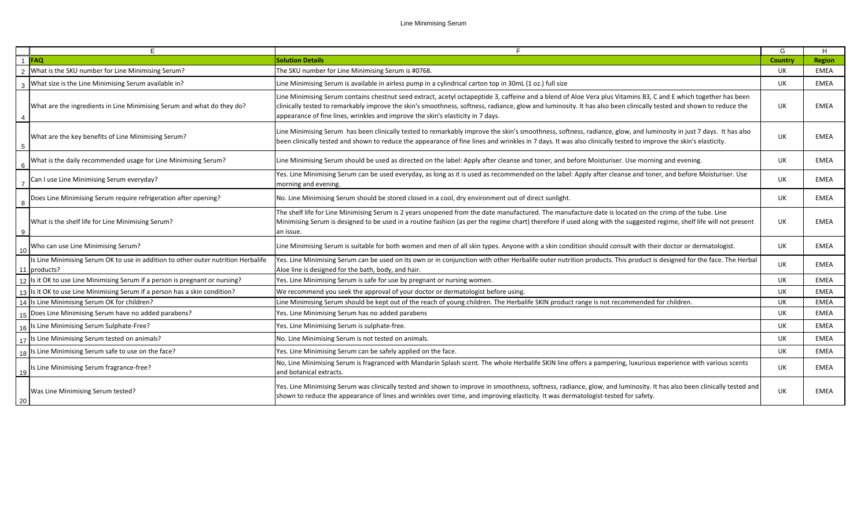## Line Minimising Serum

|                | E.                                                                                                  | F                                                                                                                                                                                                                                                                                                                                                                                                                        | G         | Н.            |
|----------------|-----------------------------------------------------------------------------------------------------|--------------------------------------------------------------------------------------------------------------------------------------------------------------------------------------------------------------------------------------------------------------------------------------------------------------------------------------------------------------------------------------------------------------------------|-----------|---------------|
|                | $1$ FAO                                                                                             | <b>Solution Details</b>                                                                                                                                                                                                                                                                                                                                                                                                  | Country   | <b>Region</b> |
|                | What is the SKU number for Line Minimising Serum?                                                   | The SKU number for Line Minimising Serum is #0768.                                                                                                                                                                                                                                                                                                                                                                       | UK        | <b>EMEA</b>   |
|                | What size is the Line Minimising Serum available in?                                                | Line Minimising Serum is available in airless pump in a cylindrical carton top in 30mL (1 oz.) full size                                                                                                                                                                                                                                                                                                                 | UK        | <b>EMEA</b>   |
|                | What are the ingredients in Line Minimising Serum and what do they do?                              | Line Minimising Serum contains chestnut seed extract, acetyl octapeptide 3, caffeine and a blend of Aloe Vera plus Vitamins B3, C and E which together has been<br>clinically tested to remarkably improve the skin's smoothness, softness, radiance, glow and luminosity. It has also been clinically tested and shown to reduce the<br>appearance of fine lines, wrinkles and improve the skin's elasticity in 7 days. | <b>UK</b> | EMEA          |
| 5              | What are the key benefits of Line Minimising Serum?                                                 | Line Minimising Serum has been clinically tested to remarkably improve the skin's smoothness, softness, radiance, glow, and luminosity in just 7 days. It has also<br>been clinically tested and shown to reduce the appearance of fine lines and wrinkles in 7 days. It was also clinically tested to improve the skin's elasticity.                                                                                    | UK        | <b>EMEA</b>   |
|                | What is the daily recommended usage for Line Minimising Serum?                                      | Line Minimising Serum should be used as directed on the label: Apply after cleanse and toner, and before Moisturiser. Use morning and evening.                                                                                                                                                                                                                                                                           | UK        | EMEA          |
|                | Can I use Line Minimising Serum everyday?                                                           | Yes. Line Minimising Serum can be used everyday, as long as it is used as recommended on the label: Apply after cleanse and toner, and before Moisturiser. Use<br>morning and evening.                                                                                                                                                                                                                                   | <b>UK</b> | EMEA          |
|                | Does Line Minimising Serum require refrigeration after opening?                                     | No. Line Minimising Serum should be stored closed in a cool, dry environment out of direct sunlight.                                                                                                                                                                                                                                                                                                                     | UK        | EMEA          |
| $\overline{9}$ | What is the shelf life for Line Minimising Serum?                                                   | The shelf life for Line Minimising Serum is 2 years unopened from the date manufactured. The manufacture date is located on the crimp of the tube. Line<br>Minimising Serum is designed to be used in a routine fashion (as per the regime chart) therefore if used along with the suggested regime, shelf life will not present<br>an issue.                                                                            | UK        | EMEA          |
| 10             | Who can use Line Minimising Serum?                                                                  | Line Minimising Serum is suitable for both women and men of all skin types. Anyone with a skin condition should consult with their doctor or dermatologist.                                                                                                                                                                                                                                                              | UK        | EMEA          |
|                | Is Line Minimising Serum OK to use in addition to other outer nutrition Herbalife<br>11   products? | Yes. Line Minimising Serum can be used on its own or in conjunction with other Herbalife outer nutrition products. This product is designed for the face. The Herbal<br>Aloe line is designed for the bath, body, and hair.                                                                                                                                                                                              | UK        | EMEA          |
|                | 12 Is it OK to use Line Minimising Serum if a person is pregnant or nursing?                        | Yes. Line Minimising Serum is safe for use by pregnant or nursing women.                                                                                                                                                                                                                                                                                                                                                 | <b>UK</b> | EMEA          |
|                | $\frac{1}{13}$ Is it OK to use Line Minimising Serum if a person has a skin condition?              | We recommend you seek the approval of your doctor or dermatologist before using.                                                                                                                                                                                                                                                                                                                                         | UK        | EMEA          |
|                | 14 Is Line Minimising Serum OK for children?                                                        | Line Minimising Serum should be kept out of the reach of young children. The Herbalife SKIN product range is not recommended for children.                                                                                                                                                                                                                                                                               | UK.       | EMEA          |
|                | $\frac{1}{15}$ Does Line Minimising Serum have no added parabens?                                   | Yes. Line Minimising Serum has no added parabens                                                                                                                                                                                                                                                                                                                                                                         | UK        | <b>EMEA</b>   |
|                | 16 Is Line Minimising Serum Sulphate-Free?                                                          | Yes. Line Minimising Serum is sulphate-free.                                                                                                                                                                                                                                                                                                                                                                             | UK.       | EMEA          |
|                | 17   Is Line Minimising Serum tested on animals?                                                    | No. Line Minimising Serum is not tested on animals.                                                                                                                                                                                                                                                                                                                                                                      | UK        | EMEA          |
|                | 18 Is Line Minimising Serum safe to use on the face?                                                | Yes. Line Minimising Serum can be safely applied on the face.                                                                                                                                                                                                                                                                                                                                                            | UK.       | EMEA          |
| 19             | Is Line Minimising Serum fragrance-free?                                                            | No, Line Minimising Serum is fragranced with Mandarin Splash scent. The whole Herbalife SKIN line offers a pampering, luxurious experience with various scents<br>and botanical extracts.                                                                                                                                                                                                                                | UK        | EMEA          |
| 20             | Was Line Minimising Serum tested?                                                                   | Yes. Line Minimising Serum was clinically tested and shown to improve in smoothness, softness, radiance, glow, and luminosity. It has also been clinically tested and<br>shown to reduce the appearance of lines and wrinkles over time, and improving elasticity. It was dermatologist-tested for safety.                                                                                                               | UK        | EMEA          |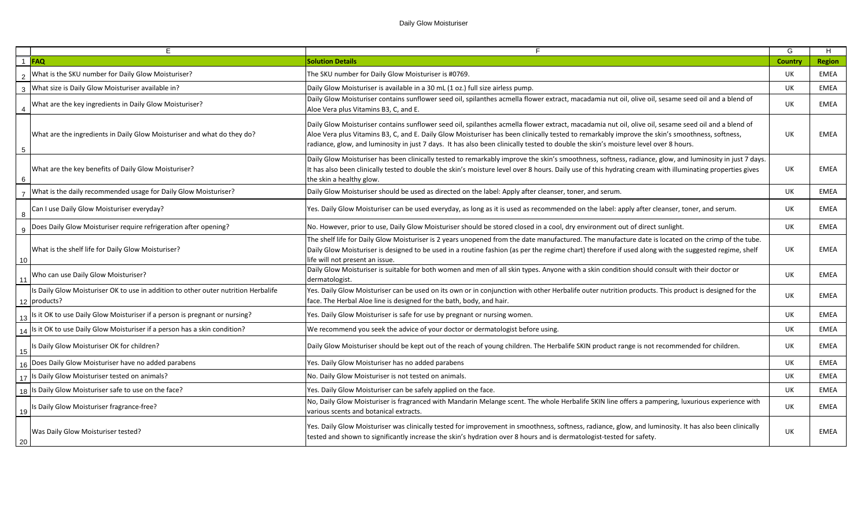|                 | E                                                                                                  | F                                                                                                                                                                                                                                                                                                                                                                                                                                            | G       | H             |
|-----------------|----------------------------------------------------------------------------------------------------|----------------------------------------------------------------------------------------------------------------------------------------------------------------------------------------------------------------------------------------------------------------------------------------------------------------------------------------------------------------------------------------------------------------------------------------------|---------|---------------|
| $\overline{1}$  | <b>FAQ</b>                                                                                         | <b>Solution Details</b>                                                                                                                                                                                                                                                                                                                                                                                                                      | Country | <b>Region</b> |
| $\overline{2}$  | What is the SKU number for Daily Glow Moisturiser?                                                 | The SKU number for Daily Glow Moisturiser is #0769.                                                                                                                                                                                                                                                                                                                                                                                          | UK.     | EMEA          |
| 3               | What size is Daily Glow Moisturiser available in?                                                  | Daily Glow Moisturiser is available in a 30 mL (1 oz.) full size airless pump.                                                                                                                                                                                                                                                                                                                                                               | UK      | EMEA          |
| $\overline{4}$  | What are the key ingredients in Daily Glow Moisturiser?                                            | Daily Glow Moisturiser contains sunflower seed oil, spilanthes acmella flower extract, macadamia nut oil, olive oil, sesame seed oil and a blend of<br>Aloe Vera plus Vitamins B3, C, and E.                                                                                                                                                                                                                                                 | UK      | <b>EMEA</b>   |
| $5\phantom{.0}$ | What are the ingredients in Daily Glow Moisturiser and what do they do?                            | Daily Glow Moisturiser contains sunflower seed oil, spilanthes acmella flower extract, macadamia nut oil, olive oil, sesame seed oil and a blend of<br>Aloe Vera plus Vitamins B3, C, and E. Daily Glow Moisturiser has been clinically tested to remarkably improve the skin's smoothness, softness,<br>radiance, glow, and luminosity in just 7 days. It has also been clinically tested to double the skin's moisture level over 8 hours. | UK      | <b>EMEA</b>   |
| - 6             | What are the key benefits of Daily Glow Moisturiser?                                               | Daily Glow Moisturiser has been clinically tested to remarkably improve the skin's smoothness, softness, radiance, glow, and luminosity in just 7 days.<br>It has also been clinically tested to double the skin's moisture level over 8 hours. Daily use of this hydrating cream with illuminating properties gives<br>the skin a healthy glow.                                                                                             | UK      | <b>EMEA</b>   |
|                 | What is the daily recommended usage for Daily Glow Moisturiser?                                    | Daily Glow Moisturiser should be used as directed on the label: Apply after cleanser, toner, and serum.                                                                                                                                                                                                                                                                                                                                      | UK      | EMEA          |
| 8               | Can I use Daily Glow Moisturiser everyday?                                                         | Yes. Daily Glow Moisturiser can be used everyday, as long as it is used as recommended on the label: apply after cleanser, toner, and serum.                                                                                                                                                                                                                                                                                                 | UK      | <b>EMEA</b>   |
|                 | Does Daily Glow Moisturiser require refrigeration after opening?                                   | No. However, prior to use, Daily Glow Moisturiser should be stored closed in a cool, dry environment out of direct sunlight.                                                                                                                                                                                                                                                                                                                 | UK      | <b>EMEA</b>   |
| 10              | What is the shelf life for Daily Glow Moisturiser?                                                 | The shelf life for Daily Glow Moisturiser is 2 years unopened from the date manufactured. The manufacture date is located on the crimp of the tube.<br>Daily Glow Moisturiser is designed to be used in a routine fashion (as per the regime chart) therefore if used along with the suggested regime, shelf<br>life will not present an issue.                                                                                              | UK      | <b>EMEA</b>   |
| 11              | Who can use Daily Glow Moisturiser?                                                                | Daily Glow Moisturiser is suitable for both women and men of all skin types. Anyone with a skin condition should consult with their doctor or<br>dermatologist.                                                                                                                                                                                                                                                                              | UK      | <b>EMEA</b>   |
|                 | Is Daily Glow Moisturiser OK to use in addition to other outer nutrition Herbalife<br>12 products? | Yes. Daily Glow Moisturiser can be used on its own or in conjunction with other Herbalife outer nutrition products. This product is designed for the<br>face. The Herbal Aloe line is designed for the bath, body, and hair.                                                                                                                                                                                                                 | UK      | EMEA          |
| 13              | Is it OK to use Daily Glow Moisturiser if a person is pregnant or nursing?                         | Yes. Daily Glow Moisturiser is safe for use by pregnant or nursing women.                                                                                                                                                                                                                                                                                                                                                                    | UK      | <b>EMEA</b>   |
| 14              | Is it OK to use Daily Glow Moisturiser if a person has a skin condition?                           | We recommend you seek the advice of your doctor or dermatologist before using.                                                                                                                                                                                                                                                                                                                                                               | UK      | EMEA          |
| 15              | Is Daily Glow Moisturiser OK for children?                                                         | Daily Glow Moisturiser should be kept out of the reach of young children. The Herbalife SKIN product range is not recommended for children.                                                                                                                                                                                                                                                                                                  | UK      | <b>EMEA</b>   |
|                 | Does Daily Glow Moisturiser have no added parabens                                                 | Yes. Daily Glow Moisturiser has no added parabens                                                                                                                                                                                                                                                                                                                                                                                            | UK      | <b>EMEA</b>   |
|                 | 17 Is Daily Glow Moisturiser tested on animals?                                                    | No. Daily Glow Moisturiser is not tested on animals.                                                                                                                                                                                                                                                                                                                                                                                         | UK      | EMEA          |
| 18              | Is Daily Glow Moisturiser safe to use on the face?                                                 | Yes. Daily Glow Moisturiser can be safely applied on the face.                                                                                                                                                                                                                                                                                                                                                                               | UK      | <b>EMEA</b>   |
| 19              | Is Daily Glow Moisturiser fragrance-free?                                                          | No, Daily Glow Moisturiser is fragranced with Mandarin Melange scent. The whole Herbalife SKIN line offers a pampering, luxurious experience with<br>various scents and botanical extracts.                                                                                                                                                                                                                                                  | UK      | EMEA          |
| 20              | Was Daily Glow Moisturiser tested?                                                                 | Yes. Daily Glow Moisturiser was clinically tested for improvement in smoothness, softness, radiance, glow, and luminosity. It has also been clinically<br>tested and shown to significantly increase the skin's hydration over 8 hours and is dermatologist-tested for safety.                                                                                                                                                               | UK      | <b>EMEA</b>   |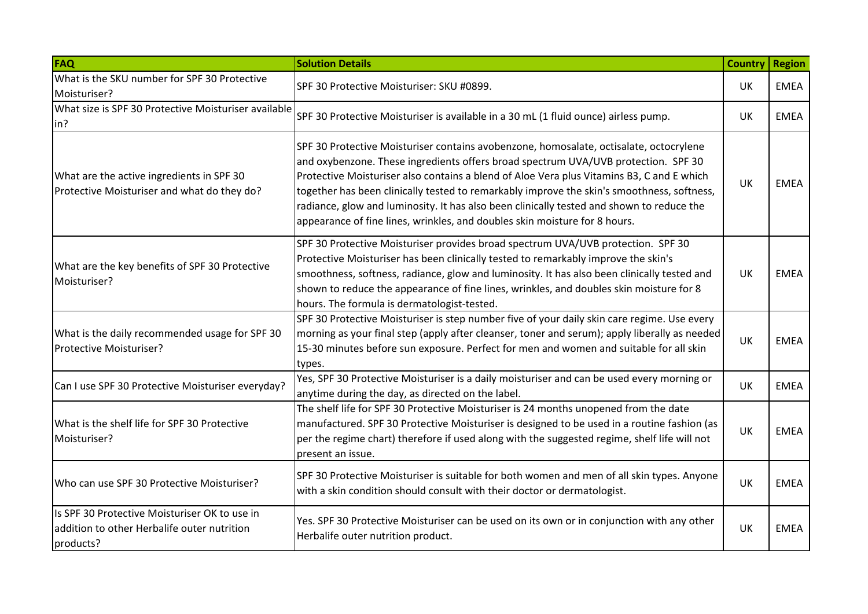| FAQ                                                                                                       | <b>Solution Details</b>                                                                                                                                                                                                                                                                                                                                                                                                                                                                                                                            | <b>Country</b> | Region      |
|-----------------------------------------------------------------------------------------------------------|----------------------------------------------------------------------------------------------------------------------------------------------------------------------------------------------------------------------------------------------------------------------------------------------------------------------------------------------------------------------------------------------------------------------------------------------------------------------------------------------------------------------------------------------------|----------------|-------------|
| What is the SKU number for SPF 30 Protective<br>Moisturiser?                                              | SPF 30 Protective Moisturiser: SKU #0899.                                                                                                                                                                                                                                                                                                                                                                                                                                                                                                          | UK             | <b>EMEA</b> |
| What size is SPF 30 Protective Moisturiser available<br>in?                                               | SPF 30 Protective Moisturiser is available in a 30 mL (1 fluid ounce) airless pump.                                                                                                                                                                                                                                                                                                                                                                                                                                                                | UK             | <b>EMEA</b> |
| What are the active ingredients in SPF 30<br>Protective Moisturiser and what do they do?                  | SPF 30 Protective Moisturiser contains avobenzone, homosalate, octisalate, octocrylene<br>and oxybenzone. These ingredients offers broad spectrum UVA/UVB protection. SPF 30<br>Protective Moisturiser also contains a blend of Aloe Vera plus Vitamins B3, C and E which<br>together has been clinically tested to remarkably improve the skin's smoothness, softness,<br>radiance, glow and luminosity. It has also been clinically tested and shown to reduce the<br>appearance of fine lines, wrinkles, and doubles skin moisture for 8 hours. | UK             | <b>EMEA</b> |
| What are the key benefits of SPF 30 Protective<br>Moisturiser?                                            | SPF 30 Protective Moisturiser provides broad spectrum UVA/UVB protection. SPF 30<br>Protective Moisturiser has been clinically tested to remarkably improve the skin's<br>smoothness, softness, radiance, glow and luminosity. It has also been clinically tested and<br>shown to reduce the appearance of fine lines, wrinkles, and doubles skin moisture for 8<br>hours. The formula is dermatologist-tested.                                                                                                                                    | UK             | <b>EMEA</b> |
| What is the daily recommended usage for SPF 30<br>Protective Moisturiser?                                 | SPF 30 Protective Moisturiser is step number five of your daily skin care regime. Use every<br>morning as your final step (apply after cleanser, toner and serum); apply liberally as needed<br>15-30 minutes before sun exposure. Perfect for men and women and suitable for all skin<br>types.                                                                                                                                                                                                                                                   | UK             | <b>EMEA</b> |
| Can I use SPF 30 Protective Moisturiser everyday?                                                         | Yes, SPF 30 Protective Moisturiser is a daily moisturiser and can be used every morning or<br>anytime during the day, as directed on the label.                                                                                                                                                                                                                                                                                                                                                                                                    | UK             | <b>EMEA</b> |
| What is the shelf life for SPF 30 Protective<br>Moisturiser?                                              | The shelf life for SPF 30 Protective Moisturiser is 24 months unopened from the date<br>manufactured. SPF 30 Protective Moisturiser is designed to be used in a routine fashion (as<br>per the regime chart) therefore if used along with the suggested regime, shelf life will not<br>present an issue.                                                                                                                                                                                                                                           | UK             | <b>EMEA</b> |
| Who can use SPF 30 Protective Moisturiser?                                                                | SPF 30 Protective Moisturiser is suitable for both women and men of all skin types. Anyone<br>with a skin condition should consult with their doctor or dermatologist.                                                                                                                                                                                                                                                                                                                                                                             | UK             | <b>EMEA</b> |
| Is SPF 30 Protective Moisturiser OK to use in<br>addition to other Herbalife outer nutrition<br>products? | Yes. SPF 30 Protective Moisturiser can be used on its own or in conjunction with any other<br>Herbalife outer nutrition product.                                                                                                                                                                                                                                                                                                                                                                                                                   | UK             | <b>EMEA</b> |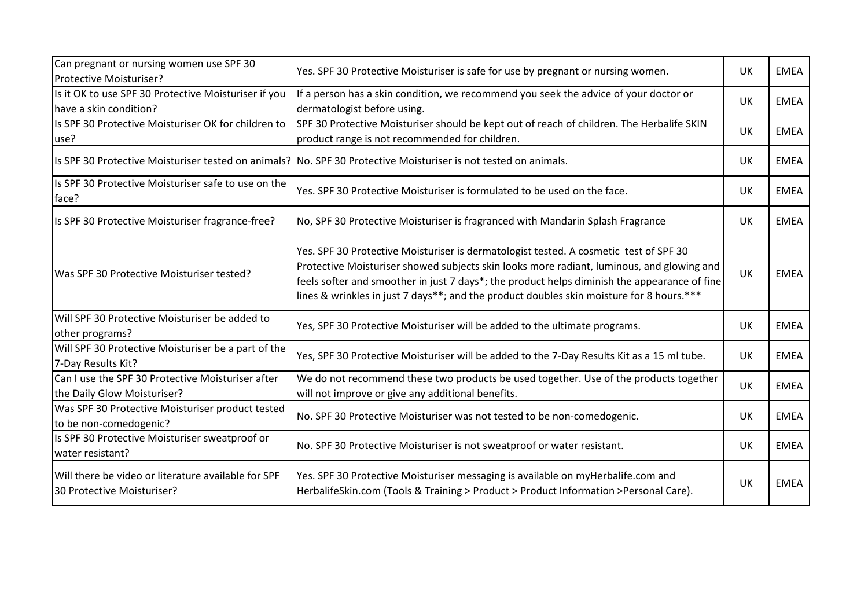| Can pregnant or nursing women use SPF 30<br><b>Protective Moisturiser?</b>        | Yes. SPF 30 Protective Moisturiser is safe for use by pregnant or nursing women.                                                                                                                                                                                                                                                                                               | UK        | <b>EMEA</b> |
|-----------------------------------------------------------------------------------|--------------------------------------------------------------------------------------------------------------------------------------------------------------------------------------------------------------------------------------------------------------------------------------------------------------------------------------------------------------------------------|-----------|-------------|
| Is it OK to use SPF 30 Protective Moisturiser if you<br>have a skin condition?    | If a person has a skin condition, we recommend you seek the advice of your doctor or<br>dermatologist before using.                                                                                                                                                                                                                                                            | <b>UK</b> | <b>EMEA</b> |
| Is SPF 30 Protective Moisturiser OK for children to<br>use?                       | SPF 30 Protective Moisturiser should be kept out of reach of children. The Herbalife SKIN<br>product range is not recommended for children.                                                                                                                                                                                                                                    | <b>UK</b> | EMEA        |
|                                                                                   | Is SPF 30 Protective Moisturiser tested on animals? No. SPF 30 Protective Moisturiser is not tested on animals.                                                                                                                                                                                                                                                                | <b>UK</b> | <b>EMEA</b> |
| Is SPF 30 Protective Moisturiser safe to use on the<br>face?                      | Yes. SPF 30 Protective Moisturiser is formulated to be used on the face.                                                                                                                                                                                                                                                                                                       | <b>UK</b> | <b>EMEA</b> |
| Is SPF 30 Protective Moisturiser fragrance-free?                                  | No, SPF 30 Protective Moisturiser is fragranced with Mandarin Splash Fragrance                                                                                                                                                                                                                                                                                                 | UK        | <b>EMEA</b> |
| Was SPF 30 Protective Moisturiser tested?                                         | Yes. SPF 30 Protective Moisturiser is dermatologist tested. A cosmetic test of SPF 30<br>Protective Moisturiser showed subjects skin looks more radiant, luminous, and glowing and<br>feels softer and smoother in just 7 days*; the product helps diminish the appearance of fine<br>lines & wrinkles in just 7 days**; and the product doubles skin moisture for 8 hours.*** | UK        | <b>EMEA</b> |
| Will SPF 30 Protective Moisturiser be added to<br>other programs?                 | Yes, SPF 30 Protective Moisturiser will be added to the ultimate programs.                                                                                                                                                                                                                                                                                                     | <b>UK</b> | <b>EMEA</b> |
| Will SPF 30 Protective Moisturiser be a part of the<br>7-Day Results Kit?         | Yes, SPF 30 Protective Moisturiser will be added to the 7-Day Results Kit as a 15 ml tube.                                                                                                                                                                                                                                                                                     | <b>UK</b> | <b>EMEA</b> |
| Can I use the SPF 30 Protective Moisturiser after<br>the Daily Glow Moisturiser?  | We do not recommend these two products be used together. Use of the products together<br>will not improve or give any additional benefits.                                                                                                                                                                                                                                     | <b>UK</b> | <b>EMEA</b> |
| Was SPF 30 Protective Moisturiser product tested<br>to be non-comedogenic?        | No. SPF 30 Protective Moisturiser was not tested to be non-comedogenic.                                                                                                                                                                                                                                                                                                        | <b>UK</b> | <b>EMEA</b> |
| Is SPF 30 Protective Moisturiser sweatproof or<br>water resistant?                | No. SPF 30 Protective Moisturiser is not sweatproof or water resistant.                                                                                                                                                                                                                                                                                                        | UK        | <b>EMEA</b> |
| Will there be video or literature available for SPF<br>30 Protective Moisturiser? | Yes. SPF 30 Protective Moisturiser messaging is available on myHerbalife.com and<br>HerbalifeSkin.com (Tools & Training > Product > Product Information >Personal Care).                                                                                                                                                                                                       | UK        | <b>EMEA</b> |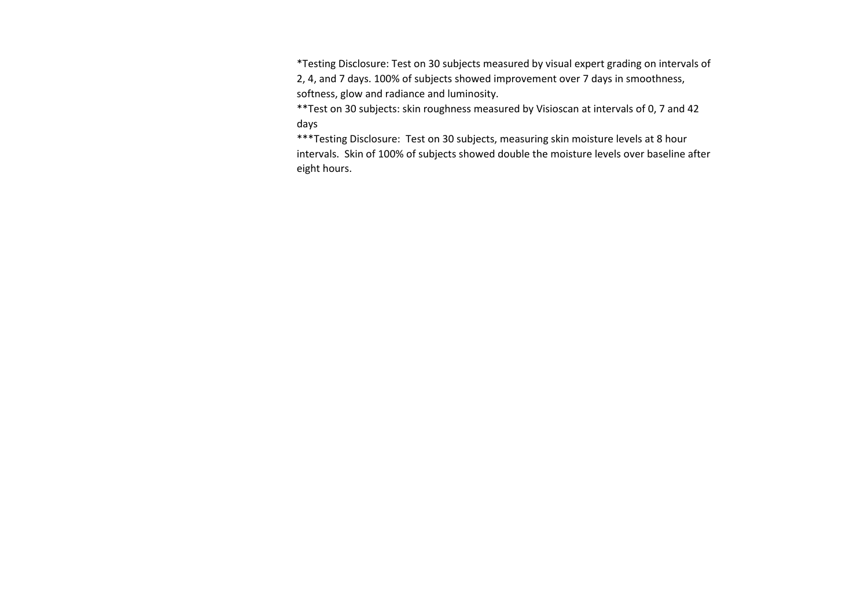\*Testing Disclosure: Test on 30 subjects measured by visual expert grading on intervals of 2, 4, and 7 days. 100% of subjects showed improvement over 7 days in smoothness, softness, glow and radiance and luminosity.

\*\*Test on 30 subjects: skin roughness measured by Visioscan at intervals of 0, 7 and 42 days

\*\*\*Testing Disclosure: Test on 30 subjects, measuring skin moisture levels at 8 hour intervals. Skin of 100% of subjects showed double the moisture levels over baseline after eight hours.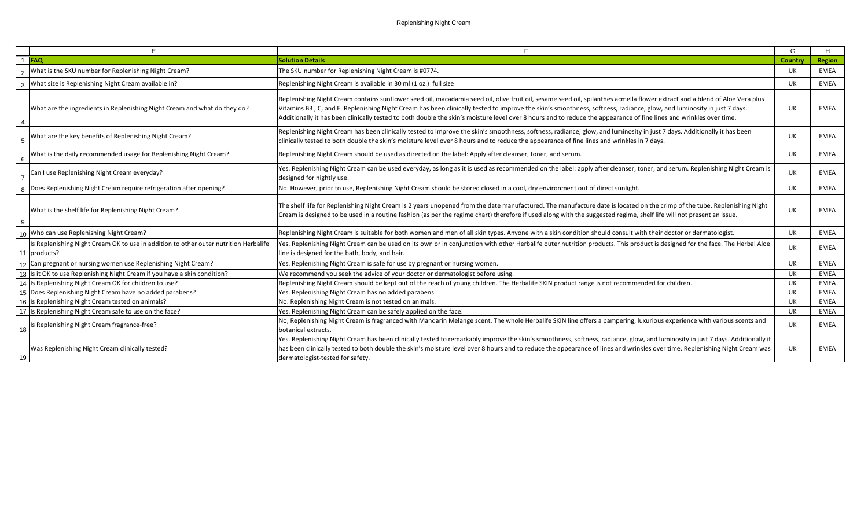|                | F.                                                                                                   |                                                                                                                                                                                                                                                                                                                                                                                                                                                                                                                             | G         | H           |
|----------------|------------------------------------------------------------------------------------------------------|-----------------------------------------------------------------------------------------------------------------------------------------------------------------------------------------------------------------------------------------------------------------------------------------------------------------------------------------------------------------------------------------------------------------------------------------------------------------------------------------------------------------------------|-----------|-------------|
|                | <b>FAQ</b>                                                                                           | <b>Solution Details</b>                                                                                                                                                                                                                                                                                                                                                                                                                                                                                                     | Country   | Region      |
|                | What is the SKU number for Replenishing Night Cream?                                                 | The SKU number for Replenishing Night Cream is #0774.                                                                                                                                                                                                                                                                                                                                                                                                                                                                       | UK.       | <b>EMEA</b> |
|                | What size is Replenishing Night Cream available in?                                                  | Replenishing Night Cream is available in 30 ml (1 oz.) full size                                                                                                                                                                                                                                                                                                                                                                                                                                                            | <b>UK</b> | <b>EMEA</b> |
| $\overline{4}$ | What are the ingredients in Replenishing Night Cream and what do they do?                            | Replenishing Night Cream contains sunflower seed oil, macadamia seed oil, olive fruit oil, sesame seed oil, spilanthes acmella flower extract and a blend of Aloe Vera plus<br>Vitamins B3, C, and E. Replenishing Night Cream has been clinically tested to improve the skin's smoothness, softness, radiance, glow, and luminosity in just 7 days.<br>Additionally it has been clinically tested to both double the skin's moisture level over 8 hours and to reduce the appearance of fine lines and wrinkles over time. | <b>UK</b> | <b>EMEA</b> |
| - 5            | What are the key benefits of Replenishing Night Cream?                                               | Replenishing Night Cream has been clinically tested to improve the skin's smoothness, softness, radiance, glow, and luminosity in just 7 days. Additionally it has been<br>clinically tested to both double the skin's moisture level over 8 hours and to reduce the appearance of fine lines and wrinkles in 7 days.                                                                                                                                                                                                       | UK        | <b>EMEA</b> |
| 6              | What is the daily recommended usage for Replenishing Night Cream?                                    | Replenishing Night Cream should be used as directed on the label: Apply after cleanser, toner, and serum.                                                                                                                                                                                                                                                                                                                                                                                                                   | UK.       | <b>EMEA</b> |
|                | Can I use Replenishing Night Cream everyday?                                                         | Yes. Replenishing Night Cream can be used everyday, as long as it is used as recommended on the label: apply after cleanser, toner, and serum. Replenishing Night Cream is<br>designed for nightly use.                                                                                                                                                                                                                                                                                                                     | UK        | <b>EMEA</b> |
|                | Does Replenishing Night Cream require refrigeration after opening?                                   | No. However, prior to use, Replenishing Night Cream should be stored closed in a cool, dry environment out of direct sunlight.                                                                                                                                                                                                                                                                                                                                                                                              | UK        | <b>EMEA</b> |
| 9              | What is the shelf life for Replenishing Night Cream?                                                 | The shelf life for Replenishing Night Cream is 2 years unopened from the date manufactured. The manufacture date is located on the crimp of the tube. Replenishing Night<br>Cream is designed to be used in a routine fashion (as per the regime chart) therefore if used along with the suggested regime, shelf life will not present an issue.                                                                                                                                                                            | UK        | <b>EMEA</b> |
|                | Who can use Replenishing Night Cream?                                                                | Replenishing Night Cream is suitable for both women and men of all skin types. Anyone with a skin condition should consult with their doctor or dermatologist.                                                                                                                                                                                                                                                                                                                                                              | UK.       | <b>EMEA</b> |
|                | Is Replenishing Night Cream OK to use in addition to other outer nutrition Herbalife<br>11 products? | Yes. Replenishing Night Cream can be used on its own or in conjunction with other Herbalife outer nutrition products. This product is designed for the face. The Herbal Aloe<br>line is designed for the bath, body, and hair.                                                                                                                                                                                                                                                                                              | <b>UK</b> | <b>EMEA</b> |
|                | 12 Can pregnant or nursing women use Replenishing Night Cream?                                       | Yes. Replenishing Night Cream is safe for use by pregnant or nursing women.                                                                                                                                                                                                                                                                                                                                                                                                                                                 | UK        | <b>EMEA</b> |
|                | 13 Is it OK to use Replenishing Night Cream if you have a skin condition?                            | We recommend you seek the advice of your doctor or dermatologist before using.                                                                                                                                                                                                                                                                                                                                                                                                                                              | UK        | <b>EMEA</b> |
|                | 14 Is Replenishing Night Cream OK for children to use?                                               | Replenishing Night Cream should be kept out of the reach of young children. The Herbalife SKIN product range is not recommended for children.                                                                                                                                                                                                                                                                                                                                                                               | UK        | <b>EMEA</b> |
|                | 15 Does Replenishing Night Cream have no added parabens?                                             | Yes. Replenishing Night Cream has no added parabens                                                                                                                                                                                                                                                                                                                                                                                                                                                                         | UK        | <b>EMEA</b> |
|                | 16 Is Replenishing Night Cream tested on animals?                                                    | No. Replenishing Night Cream is not tested on animals.                                                                                                                                                                                                                                                                                                                                                                                                                                                                      | UK        | <b>EMEA</b> |
|                | 17 Is Replenishing Night Cream safe to use on the face?                                              | Yes. Replenishing Night Cream can be safely applied on the face.                                                                                                                                                                                                                                                                                                                                                                                                                                                            | UK        | <b>EMEA</b> |
| 18             | Is Replenishing Night Cream fragrance-free?                                                          | No, Replenishing Night Cream is fragranced with Mandarin Melange scent. The whole Herbalife SKIN line offers a pampering, luxurious experience with various scents and<br>botanical extracts.                                                                                                                                                                                                                                                                                                                               | UK        | <b>EMEA</b> |
| 19             | Was Replenishing Night Cream clinically tested?                                                      | Yes. Replenishing Night Cream has been clinically tested to remarkably improve the skin's smoothness, softness, radiance, glow, and luminosity in just 7 days. Additionally it<br>has been clinically tested to both double the skin's moisture level over 8 hours and to reduce the appearance of lines and wrinkles over time. Replenishing Night Cream was<br>dermatologist-tested for safety.                                                                                                                           | UK        | <b>EMEA</b> |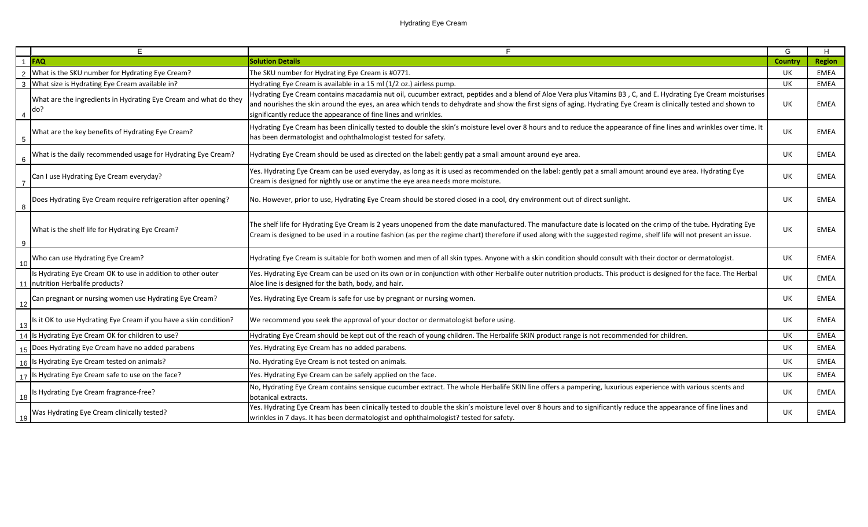|                 | F.                                                                                              | F.                                                                                                                                                                                                                                                                                                                                                                                                      | G              | H             |
|-----------------|-------------------------------------------------------------------------------------------------|---------------------------------------------------------------------------------------------------------------------------------------------------------------------------------------------------------------------------------------------------------------------------------------------------------------------------------------------------------------------------------------------------------|----------------|---------------|
|                 | 1 FAQ                                                                                           | <b>Solution Details</b>                                                                                                                                                                                                                                                                                                                                                                                 | <b>Country</b> | <b>Region</b> |
| 2               | What is the SKU number for Hydrating Eye Cream?                                                 | The SKU number for Hydrating Eye Cream is #0771.                                                                                                                                                                                                                                                                                                                                                        | UK             | <b>EMEA</b>   |
| $\mathbf{3}$    | What size is Hydrating Eye Cream available in?                                                  | Hydrating Eye Cream is available in a 15 ml (1/2 oz.) airless pump.                                                                                                                                                                                                                                                                                                                                     | UK             | <b>EMEA</b>   |
| 4               | What are the ingredients in Hydrating Eye Cream and what do they<br>do?                         | Hydrating Eye Cream contains macadamia nut oil, cucumber extract, peptides and a blend of Aloe Vera plus Vitamins B3, C, and E. Hydrating Eye Cream moisturises<br>and nourishes the skin around the eyes, an area which tends to dehydrate and show the first signs of aging. Hydrating Eye Cream is clinically tested and shown to<br>significantly reduce the appearance of fine lines and wrinkles. | UK             | EMEA          |
| $5\phantom{.0}$ | What are the key benefits of Hydrating Eye Cream?                                               | Hydrating Eye Cream has been clinically tested to double the skin's moisture level over 8 hours and to reduce the appearance of fine lines and wrinkles over time. It<br>has been dermatologist and ophthalmologist tested for safety.                                                                                                                                                                  | UK             | <b>EMEA</b>   |
| $6\phantom{1}6$ | What is the daily recommended usage for Hydrating Eye Cream?                                    | Hydrating Eye Cream should be used as directed on the label: gently pat a small amount around eye area.                                                                                                                                                                                                                                                                                                 | UK.            | EMEA          |
| $\overline{7}$  | Can I use Hydrating Eye Cream everyday?                                                         | Yes. Hydrating Eye Cream can be used everyday, as long as it is used as recommended on the label: gently pat a small amount around eye area. Hydrating Eye<br>Cream is designed for nightly use or anytime the eye area needs more moisture.                                                                                                                                                            | UK             | EMEA          |
| 8               | Does Hydrating Eye Cream require refrigeration after opening?                                   | No. However, prior to use, Hydrating Eye Cream should be stored closed in a cool, dry environment out of direct sunlight.                                                                                                                                                                                                                                                                               | UK             | EMEA          |
| 9               | What is the shelf life for Hydrating Eye Cream?                                                 | The shelf life for Hydrating Eye Cream is 2 years unopened from the date manufactured. The manufacture date is located on the crimp of the tube. Hydrating Eye<br>Cream is designed to be used in a routine fashion (as per the regime chart) therefore if used along with the suggested regime, shelf life will not present an issue.                                                                  | UK             | EMEA          |
| 10              | Who can use Hydrating Eye Cream?                                                                | Hydrating Eye Cream is suitable for both women and men of all skin types. Anyone with a skin condition should consult with their doctor or dermatologist.                                                                                                                                                                                                                                               | UK             | <b>EMEA</b>   |
|                 | Is Hydrating Eye Cream OK to use in addition to other outer<br>11 nutrition Herbalife products? | Yes. Hydrating Eye Cream can be used on its own or in conjunction with other Herbalife outer nutrition products. This product is designed for the face. The Herbal<br>Aloe line is designed for the bath, body, and hair.                                                                                                                                                                               | UK             | <b>EMEA</b>   |
| 12              | Can pregnant or nursing women use Hydrating Eye Cream?                                          | Yes. Hydrating Eye Cream is safe for use by pregnant or nursing women.                                                                                                                                                                                                                                                                                                                                  | UK             | <b>EMEA</b>   |
| 13              | Is it OK to use Hydrating Eye Cream if you have a skin condition?                               | We recommend you seek the approval of your doctor or dermatologist before using.                                                                                                                                                                                                                                                                                                                        | UK             | <b>EMEA</b>   |
| 14              | Is Hydrating Eye Cream OK for children to use?                                                  | Hydrating Eye Cream should be kept out of the reach of young children. The Herbalife SKIN product range is not recommended for children.                                                                                                                                                                                                                                                                | UK             | <b>EMEA</b>   |
|                 | 15 Does Hydrating Eye Cream have no added parabens                                              | Yes. Hydrating Eye Cream has no added parabens.                                                                                                                                                                                                                                                                                                                                                         | <b>UK</b>      | <b>EMEA</b>   |
| 16              | Is Hydrating Eye Cream tested on animals?                                                       | No. Hydrating Eye Cream is not tested on animals.                                                                                                                                                                                                                                                                                                                                                       | UK             | <b>EMEA</b>   |
| 17              | Is Hydrating Eye Cream safe to use on the face?                                                 | Yes. Hydrating Eye Cream can be safely applied on the face.                                                                                                                                                                                                                                                                                                                                             | UK             | <b>EMEA</b>   |
| 18              | Is Hydrating Eye Cream fragrance-free?                                                          | No, Hydrating Eye Cream contains sensique cucumber extract. The whole Herbalife SKIN line offers a pampering, luxurious experience with various scents and<br>botanical extracts.                                                                                                                                                                                                                       | UK             | EMEA          |
| <u>19</u>       | Was Hydrating Eye Cream clinically tested?                                                      | Yes. Hydrating Eye Cream has been clinically tested to double the skin's moisture level over 8 hours and to significantly reduce the appearance of fine lines and<br>wrinkles in 7 days. It has been dermatologist and ophthalmologist? tested for safety.                                                                                                                                              | UK             | EMEA          |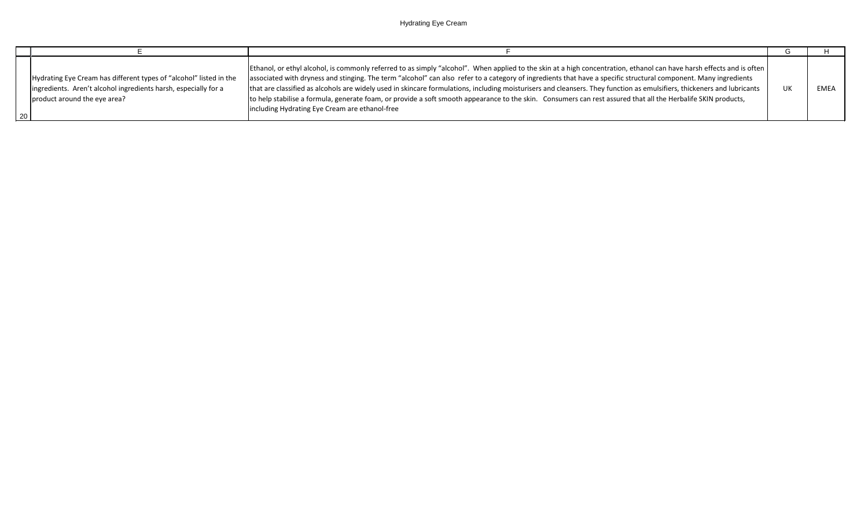| $\sqrt{20}$ | Hydrating Eye Cream has different types of "alcohol" listed in the<br>ingredients. Aren't alcohol ingredients harsh, especially for a<br>product around the eye area? | [Ethanol, or ethyl alcohol, is commonly referred to as simply "alcohol". When applied to the skin at a high concentration, ethanol can have harsh effects and is often<br>associated with dryness and stinging. The term "alcohol" can also refer to a category of ingredients that have a specific structural component. Many ingredients<br>that are classified as alcohols are widely used in skincare formulations, including moisturisers and cleansers. They function as emulsifiers, thickeners and lubricants<br>to help stabilise a formula, generate foam, or provide a soft smooth appearance to the skin. Consumers can rest assured that all the Herbalife SKIN products,<br>including Hydrating Eye Cream are ethanol-free | EME. |
|-------------|-----------------------------------------------------------------------------------------------------------------------------------------------------------------------|------------------------------------------------------------------------------------------------------------------------------------------------------------------------------------------------------------------------------------------------------------------------------------------------------------------------------------------------------------------------------------------------------------------------------------------------------------------------------------------------------------------------------------------------------------------------------------------------------------------------------------------------------------------------------------------------------------------------------------------|------|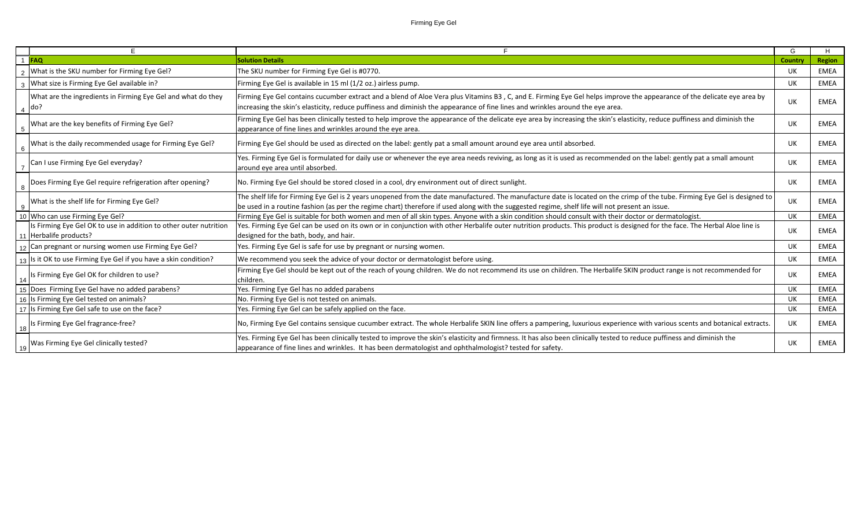|                |                                                                                             |                                                                                                                                                                                                                                                                                                                                | G       | H           |
|----------------|---------------------------------------------------------------------------------------------|--------------------------------------------------------------------------------------------------------------------------------------------------------------------------------------------------------------------------------------------------------------------------------------------------------------------------------|---------|-------------|
|                | <b>FAQ</b>                                                                                  | <b>Solution Details</b>                                                                                                                                                                                                                                                                                                        | Country | Region      |
| $\overline{2}$ | What is the SKU number for Firming Eye Gel?                                                 | The SKU number for Firming Eye Gel is #0770.                                                                                                                                                                                                                                                                                   | UK      | EMEA        |
| 3              | What size is Firming Eye Gel available in?                                                  | Firming Eye Gel is available in 15 ml (1/2 oz.) airless pump.                                                                                                                                                                                                                                                                  | UK      | <b>EMEA</b> |
| $\overline{4}$ | What are the ingredients in Firming Eye Gel and what do they<br> do?                        | Firming Eye Gel contains cucumber extract and a blend of Aloe Vera plus Vitamins B3, C, and E. Firming Eye Gel helps improve the appearance of the delicate eye area by<br>increasing the skin's elasticity, reduce puffiness and diminish the appearance of fine lines and wrinkles around the eye area.                      | UK      | EMEA        |
| 5              | What are the key benefits of Firming Eye Gel?                                               | Firming Eye Gel has been clinically tested to help improve the appearance of the delicate eye area by increasing the skin's elasticity, reduce puffiness and diminish the<br>appearance of fine lines and wrinkles around the eye area.                                                                                        | UK      | <b>EMEA</b> |
| - 6            | What is the daily recommended usage for Firming Eye Gel?                                    | Firming Eye Gel should be used as directed on the label: gently pat a small amount around eye area until absorbed.                                                                                                                                                                                                             | UK      | <b>EMEA</b> |
|                | Can I use Firming Eye Gel everyday?                                                         | Yes. Firming Eye Gel is formulated for daily use or whenever the eye area needs reviving, as long as it is used as recommended on the label: gently pat a small amount<br>around eye area until absorbed.                                                                                                                      | UK      | <b>EMEA</b> |
| 8              | Does Firming Eye Gel require refrigeration after opening?                                   | No. Firming Eye Gel should be stored closed in a cool, dry environment out of direct sunlight.                                                                                                                                                                                                                                 | UK      | EMEA        |
| -9             | What is the shelf life for Firming Eye Gel?                                                 | The shelf life for Firming Eye Gel is 2 years unopened from the date manufactured. The manufacture date is located on the crimp of the tube. Firming Eye Gel is designed to<br>be used in a routine fashion (as per the regime chart) therefore if used along with the suggested regime, shelf life will not present an issue. | UK      | <b>EMEA</b> |
|                | 10 Who can use Firming Eye Gel?                                                             | Firming Eye Gel is suitable for both women and men of all skin types. Anyone with a skin condition should consult with their doctor or dermatologist.                                                                                                                                                                          | UK      | <b>EMEA</b> |
|                | Is Firming Eye Gel OK to use in addition to other outer nutrition<br>11 Herbalife products? | Yes. Firming Eye Gel can be used on its own or in conjunction with other Herbalife outer nutrition products. This product is designed for the face. The Herbal Aloe line is<br>designed for the bath, body, and hair.                                                                                                          | UK      | EMEA        |
|                | 12 Can pregnant or nursing women use Firming Eye Gel?                                       | Yes. Firming Eye Gel is safe for use by pregnant or nursing women.                                                                                                                                                                                                                                                             | UK      | <b>EMEA</b> |
|                | Is it OK to use Firming Eye Gel if you have a skin condition?                               | We recommend you seek the advice of your doctor or dermatologist before using.                                                                                                                                                                                                                                                 | UK      | EMEA        |
| 14             | Is Firming Eye Gel OK for children to use?                                                  | Firming Eye Gel should be kept out of the reach of young children. We do not recommend its use on children. The Herbalife SKIN product range is not recommended for<br>children.                                                                                                                                               | UK      | <b>EMEA</b> |
|                | 15 Does Firming Eye Gel have no added parabens?                                             | Yes. Firming Eye Gel has no added parabens                                                                                                                                                                                                                                                                                     | UK      | <b>EMEA</b> |
|                | 16 Is Firming Eye Gel tested on animals?                                                    | No. Firming Eye Gel is not tested on animals.                                                                                                                                                                                                                                                                                  | UK      | EMEA        |
|                | 17 Is Firming Eye Gel safe to use on the face?                                              | Yes. Firming Eye Gel can be safely applied on the face.                                                                                                                                                                                                                                                                        | UK      | EMEA        |
| 18             | Is Firming Eye Gel fragrance-free?                                                          | No, Firming Eye Gel contains sensique cucumber extract. The whole Herbalife SKIN line offers a pampering, luxurious experience with various scents and botanical extracts.                                                                                                                                                     | UK      | <b>EMEA</b> |
| 19             | Was Firming Eye Gel clinically tested?                                                      | Yes. Firming Eye Gel has been clinically tested to improve the skin's elasticity and firmness. It has also been clinically tested to reduce puffiness and diminish the<br>appearance of fine lines and wrinkles. It has been dermatologist and ophthalmologist? tested for safety.                                             | UK      | <b>EMEA</b> |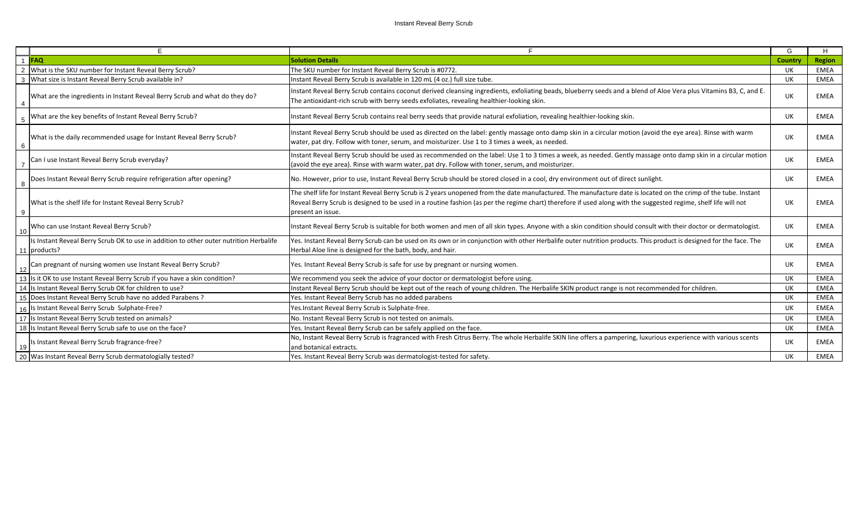## Instant Reveal Berry Scrub

| F                                                                                                                |                                                                                                                                                                                                                                                                                                                                                         | G       | H             |
|------------------------------------------------------------------------------------------------------------------|---------------------------------------------------------------------------------------------------------------------------------------------------------------------------------------------------------------------------------------------------------------------------------------------------------------------------------------------------------|---------|---------------|
| <b>FAO</b>                                                                                                       | <b>Solution Details</b>                                                                                                                                                                                                                                                                                                                                 | Country | <b>Region</b> |
| What is the SKU number for Instant Reveal Berry Scrub?<br>$\mathcal{P}$                                          | The SKU number for Instant Reveal Berry Scrub is #0772.                                                                                                                                                                                                                                                                                                 | UK      | EMEA          |
| What size is Instant Reveal Berry Scrub available in?                                                            | Instant Reveal Berry Scrub is available in 120 mL (4 oz.) full size tube.                                                                                                                                                                                                                                                                               | UK      | EMEA          |
| What are the ingredients in Instant Reveal Berry Scrub and what do they do?                                      | Instant Reveal Berry Scrub contains coconut derived cleansing ingredients, exfoliating beads, blueberry seeds and a blend of Aloe Vera plus Vitamins B3, C, and E.<br>The antioxidant-rich scrub with berry seeds exfoliates, revealing healthier-looking skin.                                                                                         | UK      | EMEA          |
| What are the key benefits of Instant Reveal Berry Scrub?                                                         | Instant Reveal Berry Scrub contains real berry seeds that provide natural exfoliation, revealing healthier-looking skin.                                                                                                                                                                                                                                | UK      | EMEA          |
| What is the daily recommended usage for Instant Reveal Berry Scrub?                                              | Instant Reveal Berry Scrub should be used as directed on the label: gently massage onto damp skin in a circular motion (avoid the eye area). Rinse with warm<br>water, pat dry. Follow with toner, serum, and moisturizer. Use 1 to 3 times a week, as needed.                                                                                          | UK      | EMEA          |
| Can I use Instant Reveal Berry Scrub everyday?                                                                   | Instant Reveal Berry Scrub should be used as recommended on the label: Use 1 to 3 times a week, as needed. Gently massage onto damp skin in a circular motion<br>(avoid the eye area). Rinse with warm water, pat dry. Follow with toner, serum, and moisturizer.                                                                                       | UK      | EMEA          |
| Does Instant Reveal Berry Scrub require refrigeration after opening?                                             | No. However, prior to use, Instant Reveal Berry Scrub should be stored closed in a cool, dry environment out of direct sunlight.                                                                                                                                                                                                                        | UK      | EMEA          |
| What is the shelf life for Instant Reveal Berry Scrub?                                                           | The shelf life for Instant Reveal Berry Scrub is 2 years unopened from the date manufactured. The manufacture date is located on the crimp of the tube. Instant<br>Reveal Berry Scrub is designed to be used in a routine fashion (as per the regime chart) therefore if used along with the suggested regime, shelf life will not<br>present an issue. | UK      | <b>EMEA</b>   |
| Who can use Instant Reveal Berry Scrub?<br>l 10                                                                  | Instant Reveal Berry Scrub is suitable for both women and men of all skin types. Anyone with a skin condition should consult with their doctor or dermatologist.                                                                                                                                                                                        | UK      | EMEA          |
| Is Instant Reveal Berry Scrub OK to use in addition to other outer nutrition Herbalife<br>$\vert$ 11   products? | Yes. Instant Reveal Berry Scrub can be used on its own or in conjunction with other Herbalife outer nutrition products. This product is designed for the face. The<br>Herbal Aloe line is designed for the bath, body, and hair.                                                                                                                        | UK      | EMEA          |
| Can pregnant of nursing women use Instant Reveal Berry Scrub?<br>12                                              | Yes. Instant Reveal Berry Scrub is safe for use by pregnant or nursing women.                                                                                                                                                                                                                                                                           | UK      | EMEA          |
| 13 Is it OK to use Instant Reveal Berry Scrub if you have a skin condition?                                      | We recommend you seek the advice of your doctor or dermatologist before using.                                                                                                                                                                                                                                                                          | UK      | <b>EMEA</b>   |
| 14 Is Instant Reveal Berry Scrub OK for children to use?                                                         | Instant Reveal Berry Scrub should be kept out of the reach of young children. The Herbalife SKIN product range is not recommended for children.                                                                                                                                                                                                         | UK      | <b>EMEA</b>   |
| 15 Does Instant Reveal Berry Scrub have no added Parabens ?                                                      | Yes. Instant Reveal Berry Scrub has no added parabens                                                                                                                                                                                                                                                                                                   | UK      | EMEA          |
| 16 Is Instant Reveal Berry Scrub Sulphate-Free?                                                                  | Yes.Instant Reveal Berry Scrub is Sulphate-free.                                                                                                                                                                                                                                                                                                        | UK      | EMEA          |
| 17 Is Instant Reveal Berry Scrub tested on animals?                                                              | No. Instant Reveal Berry Scrub is not tested on animals.                                                                                                                                                                                                                                                                                                | UK      | EMEA          |
| 18 Is Instant Reveal Berry Scrub safe to use on the face?                                                        | Yes. Instant Reveal Berry Scrub can be safely applied on the face.                                                                                                                                                                                                                                                                                      | UK      | EMEA          |
| Is Instant Reveal Berry Scrub fragrance-free?                                                                    | No, Instant Reveal Berry Scrub is fragranced with Fresh Citrus Berry. The whole Herbalife SKIN line offers a pampering, luxurious experience with various scents<br>and botanical extracts.                                                                                                                                                             | UK      | EMEA          |
| 20 Was Instant Reveal Berry Scrub dermatologially tested?                                                        | Yes. Instant Reveal Berry Scrub was dermatologist-tested for safety.                                                                                                                                                                                                                                                                                    | UK      | EMEA          |